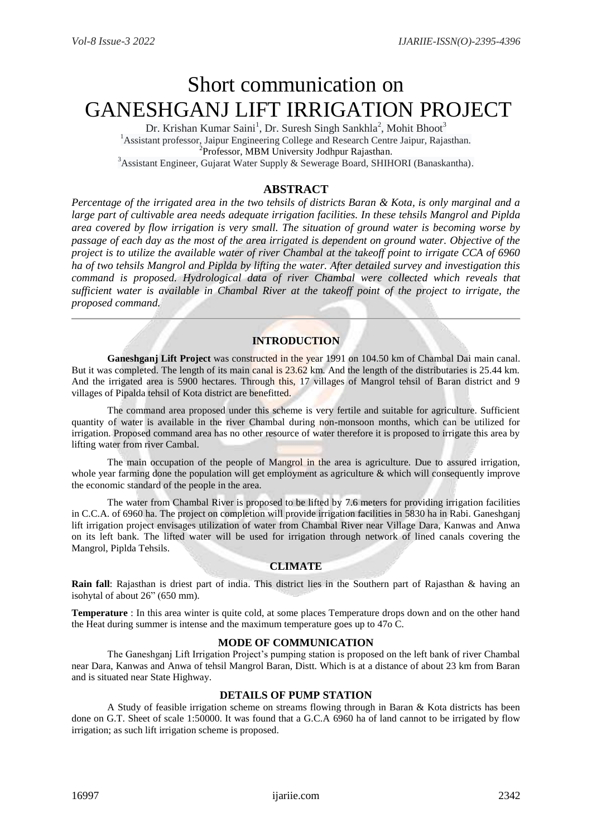# Short communication on GANESHGANJ LIFT IRRIGATION PROJECT

Dr. Krishan Kumar Saini<sup>1</sup>, Dr. Suresh Singh Sankhla<sup>2</sup>, Mohit Bhoot<sup>3</sup> <sup>1</sup> Assistant professor, Jaipur Engineering College and Research Centre Jaipur, Rajasthan. <sup>2</sup> Professor, MBM University Jodhpur Rajasthan.  $3A$ ssistant Engineer, Gujarat Water Supply & Sewerage Board, SHIHORI (Banaskantha).

# **ABSTRACT**

*Percentage of the irrigated area in the two tehsils of districts Baran & Kota, is only marginal and a large part of cultivable area needs adequate irrigation facilities. In these tehsils Mangrol and Piplda area covered by flow irrigation is very small. The situation of ground water is becoming worse by passage of each day as the most of the area irrigated is dependent on ground water. Objective of the project is to utilize the available water of river Chambal at the takeoff point to irrigate CCA of 6960 ha of two tehsils Mangrol and Piplda by lifting the water. After detailed survey and investigation this command is proposed. Hydrological data of river Chambal were collected which reveals that sufficient water is available in Chambal River at the takeoff point of the project to irrigate, the proposed command.*

## **INTRODUCTION**

Ganeshganj Lift Project was constructed in the year 1991 on 104.50 km of Chambal Dai main canal. But it was completed. The length of its main canal is 23.62 km. And the length of the distributaries is 25.44 km. And the irrigated area is 5900 hectares. Through this, 17 villages of Mangrol tehsil of Baran district and 9 villages of Pipalda tehsil of Kota district are benefitted.

The command area proposed under this scheme is very fertile and suitable for agriculture. Sufficient quantity of water is available in the river Chambal during non-monsoon months, which can be utilized for irrigation. Proposed command area has no other resource of water therefore it is proposed to irrigate this area by lifting water from river Cambal.

The main occupation of the people of Mangrol in the area is agriculture. Due to assured irrigation, whole year farming done the population will get employment as agriculture & which will consequently improve the economic standard of the people in the area.

The water from Chambal River is proposed to be lifted by 7.6 meters for providing irrigation facilities in C.C.A. of 6960 ha. The project on completion will provide irrigation facilities in 5830 ha in Rabi. Ganeshganj lift irrigation project envisages utilization of water from Chambal River near Village Dara, Kanwas and Anwa on its left bank. The lifted water will be used for irrigation through network of lined canals covering the Mangrol, Piplda Tehsils.

## **CLIMATE**

**Rain fall**: Rajasthan is driest part of india. This district lies in the Southern part of Rajasthan & having an isohytal of about 26" (650 mm).

**Temperature** : In this area winter is quite cold, at some places Temperature drops down and on the other hand the Heat during summer is intense and the maximum temperature goes up to 47o C.

#### **MODE OF COMMUNICATION**

The Ganeshganj Lift Irrigation Project's pumping station is proposed on the left bank of river Chambal near Dara, Kanwas and Anwa of tehsil Mangrol Baran, Distt. Which is at a distance of about 23 km from Baran and is situated near State Highway.

#### **DETAILS OF PUMP STATION**

A Study of feasible irrigation scheme on streams flowing through in Baran & Kota districts has been done on G.T. Sheet of scale 1:50000. It was found that a G.C.A 6960 ha of land cannot to be irrigated by flow irrigation; as such lift irrigation scheme is proposed.